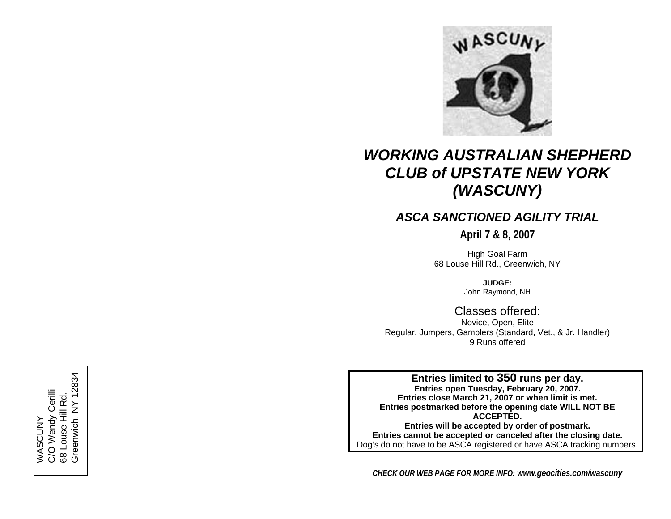

# *WORKING AUSTRALIAN SHEPHERD CLUB of UPSTATE NEW YORK (WASCUNY)*

# *ASCA SANCTIONED AGILITY TRIAL*

**April 7 & 8, 2007** 

High Goal Farm 68 Louse Hill Rd., Greenwich, NY

> **JUDGE:**John Ray mond, NH

Classes offered: Novice, Open, Elite Regular, Jumpers, Gamblers (Standard, Vet., & Jr. Handler) 9 Runs offered

Entries limited to 350 runs per day.<br>
Entries open Tuesday, February 20, 2007.<br>
Entries close March 21, 2007 or when limit is r<br>
Entries postmarked before the opening date WILL<br>
Entries will be accepted by order of postmar **hen limit is met. Entries postmarked before the opening date WILL NOT BE ACCEPTED. Entries will be accepted by order of postmark. Entries cannot be accepted or canceled after the closing date.**  Dog's do not have to be ASCA registered or have ASCA tracking numbers.

*CHECK OUR WEB PAGE FOR MORE INFO: www.geocities.com/wascuny*

C/O Wendy Cerilli C/O Wendy Cerilli 68 Louse Hill Rd. 68 Louse Hill Rd. WASCUNY **WASCUNY**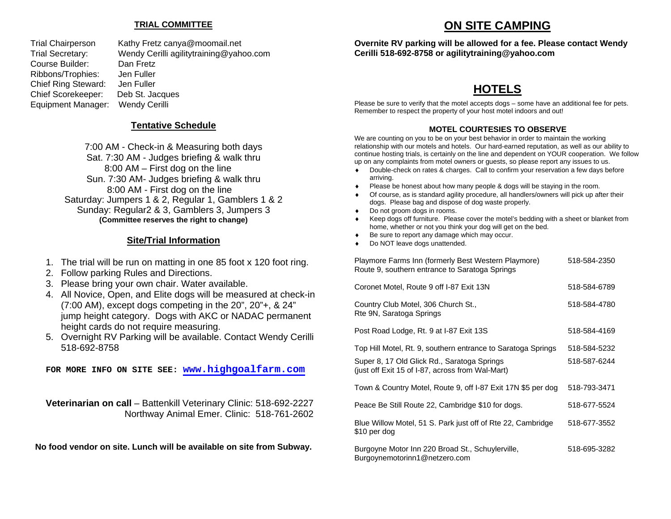## **TRIAL COMMITTEE**

Course Builder: Dan Fretz Ribbons/Trophies: Jen Fuller Chief Ring Steward: Jen Fuller Equipment Manager: Wendy Cerilli

Trial Chairperson Kathy Fretz canya@moomail.net Trial Secretary: Wendy Cerilli agilitytraining@yahoo.com Chief Scorekeeper: Deb St. Jacques

## **Tentative Schedule**

7:00 AM - Check-in & Measuring both days Sat. 7:30 AM - Judges briefing & walk thru 8:00 AM – First dog on the line Sun. 7:30 AM- Judges briefing & walk thru 8:00 AM - First dog on the line Saturday: Jumpers 1 & 2, Regular 1, Gamblers 1 & 2 Sunday: Regular2 & 3, Gamblers 3, Jumpers 3 **(Committee reserves the right to change)** 

## **Site/Trial Information**

- 1. The trial will be run on matting in one 85 foot x 120 foot ring.
- 2. Follow parking Rules and Directions.
- 3. Please bring your own chair. Water available.
- 4. All Novice, Open, and Elite dogs will be measured at check-in (7:00 AM), except dogs competing in the 20", 20"+, & 24" jump height category. Dogs with AKC or NADAC permanent height cards do not require measuring.
- 5. Overnight RV Parking will be available. Contact Wendy Cerilli 518-692-8758

**FOR MORE INFO ON SITE SEE: [www.highgoalfarm.com](http://www.highgoalfarm.com/)**

**Veterinarian on call** – Battenkill Veterinary Clinic: 518-692-2227 Northway Animal Emer. Clinic: 518-761-2602

**No food vendor on site. Lunch will be available on site from Subway.** 

# **ON SITE CAMPING**

**Overnite RV parking will be allowed for a fee. Please contact Wendy Cerilli 518-692-8758 or agilitytraining@yahoo.com** 

# **HOTELS**

Please be sure to verify that the motel accepts dogs – some have an additional fee for pets. Remember to respect the property of your host motel indoors and out!

## **MOTEL COURTESIES TO OBSERVE**

We are counting on you to be on your best behavior in order to maintain the working relationship with our motels and hotels. Our hard-earned reputation, as well as our ability to continue hosting trials, is certainly on the line and dependent on YOUR cooperation. We follow up on any complaints from motel owners or guests, so please report any issues to us.

- ♦ Double-check on rates & charges. Call to confirm your reservation a few days before arriving.
- Please be honest about how many people & dogs will be staying in the room.
- Of course, as is standard agility procedure, all handlers/owners will pick up after their dogs. Please bag and dispose of dog waste properly.
- ♦ Do not groom dogs in rooms.
- ♦ Keep dogs off furniture. Please cover the motel's bedding with a sheet or blanket from home, whether or not you think your dog will get on the bed.
- ♦ Be sure to report any damage which may occur.
- ♦ Do NOT leave dogs unattended.

| Playmore Farms Inn (formerly Best Western Playmore)<br>Route 9, southern entrance to Saratoga Springs                                                           | 518-584-2350                 |
|-----------------------------------------------------------------------------------------------------------------------------------------------------------------|------------------------------|
| Coronet Motel, Route 9 off I-87 Exit 13N                                                                                                                        | 518-584-6789                 |
| Country Club Motel, 306 Church St.,<br>Rte 9N, Saratoga Springs                                                                                                 | 518-584-4780                 |
| Post Road Lodge, Rt. 9 at I-87 Exit 13S                                                                                                                         | 518-584-4169                 |
| Top Hill Motel, Rt. 9, southern entrance to Saratoga Springs<br>Super 8, 17 Old Glick Rd., Saratoga Springs<br>(just off Exit 15 of I-87, across from Wal-Mart) | 518-584-5232<br>518-587-6244 |
| Town & Country Motel, Route 9, off I-87 Exit 17N \$5 per dog                                                                                                    | 518-793-3471                 |
| Peace Be Still Route 22, Cambridge \$10 for dogs.                                                                                                               | 518-677-5524                 |
| Blue Willow Motel, 51 S. Park just off of Rte 22, Cambridge<br>\$10 per dog                                                                                     | 518-677-3552                 |
| Burgoyne Motor Inn 220 Broad St., Schuylerville,<br>Burgoynemotorinn1@netzero.com                                                                               | 518-695-3282                 |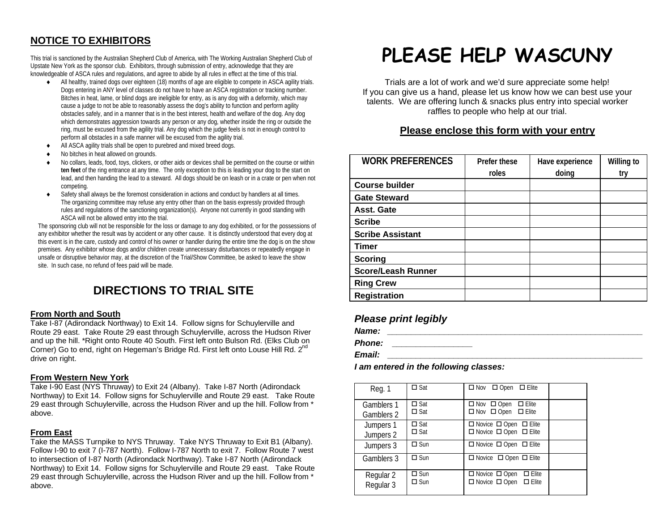## **NOTICE TO EXHIBITORS**

This trial is sanctioned by the Australian Shepherd Club of America, with The Working Australian Shepherd Club of Upstate New York as the sponsor club. Exhibitors, through submission of entry, acknowledge that they are knowledgeable of ASCA rules and regulations, and agree to abide by all rules in effect at the time of this trial.

- ♦ All healthy, trained dogs over eighteen (18) months of age are eligible to compete in ASCA agility trials. Dogs entering in ANY level of classes do not have to have an ASCA registration or tracking number. Bitches in heat, lame, or blind dogs are ineligible for entry, as is any dog with a deformity, which may cause a judge to not be able to reasonably assess the dog's ability to function and perform agility obstacles safely, and in a manner that is in the best interest, health and welfare of the dog. Any dog which demonstrates aggression towards any person or any dog, whether inside the ring or outside the ring, must be excused from the agility trial. Any dog which the judge feels is not in enough control to perform all obstacles in a safe manner will be excused from the agility trial.
- ♦All ASCA agility trials shall be open to purebred and mixed breed dogs.
- ♦No bitches in heat allowed on grounds.
- No collars, leads, food, toys, clickers, or other aids or devices shall be permitted on the course or within **ten feet** of the ring entrance at any time. The only exception to this is leading your dog to the start on lead, and then handing the lead to a steward. All dogs should be on leash or in a crate or pen when not competing.
- Safety shall always be the foremost consideration in actions and conduct by handlers at all times. The organizing committee may refuse any entry other than on the basis expressly provided through rules and regulations of the sanctioning organization(s). Anyone not currently in good standing with ASCA will not be allowed entry into the trial.

The sponsoring club will not be responsible for the loss or damage to any dog exhibited, or for the possessions of any exhibitor whether the result was by accident or any other cause. It is distinctly understood that every dog at this event is in the care, custody and control of his owner or handler during the entire time the dog is on the show premises. Any exhibitor whose dogs and/or children create unnecessary disturbances or repeatedly engage in unsafe or disruptive behavior may, at the discretion of the Trial/Show Committee, be asked to leave the show site. In such case, no refund of fees paid will be made.

# **DIRECTIONS TO TRIAL SITE**

#### **From North and South**

Take I-87 (Adirondack Northway) to Exit 14. Follow signs for Schuylerville and Route 29 east. Take Route 29 east through Schuylerville, across the Hudson River and up the hill. \*Right onto Route 40 South. First left onto Bulson Rd. (Elks Club on Corner) Go to end, right on Hegeman's Bridge Rd. First left onto Louse Hill Rd. 2<sup>nd</sup> drive on right.

#### **From Western New York**

Take I-90 East (NYS Thruway) to Exit 24 (Albany). Take I-87 North (Adirondack Northway) to Exit 14. Follow signs for Schuylerville and Route 29 east. Take Route 29 east through Schuylerville, across the Hudson River and up the hill. Follow from \* above.

#### **From East**

Take the MASS Turnpike to NYS Thruway. Take NYS Thruway to Exit B1 (Albany). Follow I-90 to exit 7 (I-787 North). Follow I-787 North to exit 7. Follow Route 7 west to intersection of I-87 North (Adirondack Northway). Take I-87 North (Adirondack Northway) to Exit 14. Follow signs for Schuylerville and Route 29 east. Take Route 29 east through Schuylerville, across the Hudson River and up the hill. Follow from \* above.

# **PLEASE HELP WASCUNY**

Trials are a lot of work and we'd sure appreciate some help! If you can give us a hand, please let us know how we can best use your talents. We are offering lunch & snacks plus entry into special worker raffles to people who help at our trial.

## **Please enclose this form with your entry**

| <b>WORK PREFERENCES</b>   | Prefer these | Have experience | Willing to |
|---------------------------|--------------|-----------------|------------|
|                           | roles        | doing           | try        |
| <b>Course builder</b>     |              |                 |            |
| <b>Gate Steward</b>       |              |                 |            |
| Asst. Gate                |              |                 |            |
| <b>Scribe</b>             |              |                 |            |
| <b>Scribe Assistant</b>   |              |                 |            |
| Timer                     |              |                 |            |
| <b>Scoring</b>            |              |                 |            |
| <b>Score/Leash Runner</b> |              |                 |            |
| <b>Ring Crew</b>          |              |                 |            |
| <b>Registration</b>       |              |                 |            |

## *Please print legibly*

| Name: |  |
|-------|--|
|       |  |
|       |  |

*Phone: \_\_\_\_\_\_\_\_\_\_\_\_\_\_\_\_\_* 

*Email: \_\_\_\_\_\_\_\_\_\_\_\_\_\_\_\_\_\_\_\_\_\_\_\_\_\_\_\_\_\_\_\_\_\_\_\_\_\_\_\_\_\_\_\_\_\_\_\_\_\_\_\_\_\_* 

## *I am entered in the following classes:*

| Reg. 1                   | $\square$ Sat                  | $\Box$ Nov $\Box$ Open $\Box$ Elite                                                 |  |
|--------------------------|--------------------------------|-------------------------------------------------------------------------------------|--|
| Gamblers 1<br>Gamblers 2 | $\square$ Sat<br>$\square$ Sat | $\Box$ Nov $\Box$ Open $\Box$ Elite<br>$\Box$ Nov $\Box$ Open $\Box$ Elite          |  |
| Jumpers 1<br>Jumpers 2   | $\square$ Sat<br>$\square$ Sat | $\Box$ Novice $\Box$ Open $\Box$ Elite<br>$\Box$ Novice $\Box$ Open $\Box$ Elite    |  |
| Jumpers 3                | $\square$ Sun                  | $\Box$ Novice $\Box$ Open $\Box$ Elite                                              |  |
| Gamblers 3               | $\Box$ Sun                     | $\Box$ Novice $\Box$ Open $\Box$ Elite                                              |  |
| Regular 2<br>Regular 3   | $\Box$ Sun<br>$\Box$ Sun       | $\Box$ Elite<br>$\Box$ Novice $\Box$ Open<br>$\Box$ Novice $\Box$ Open $\Box$ Elite |  |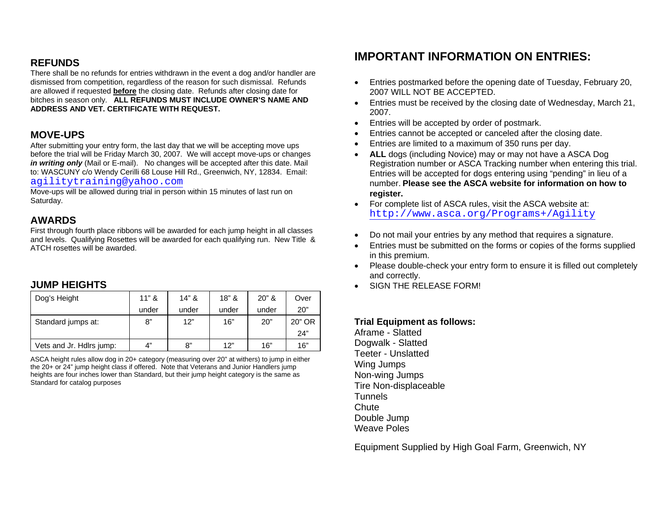## **REFUNDS**

There shall be no refunds for entries withdrawn in the event a dog and/or handler are dismissed from competition, regardless of the reason for such dismissal. Refunds are allowed if requested **before** the closing date. Refunds after closing date for bitches in season only. **ALL REFUNDS MUST INCLUDE OWNER'S NAME AND ADDRESS AND VET. CERTIFICATE WITH REQUEST.** 

## **MOVE-UPS**

After submitting your entry form, the last day that we will be accepting move ups before the trial will be Friday March 30, 2007. We will accept move-ups or changes *in writing only* (Mail or E-mail). No changes will be accepted after this date. Mail to: WASCUNY c/o Wendy Cerilli 68 Louse Hill Rd., Greenwich, NY, 12834. Email: [agilitytraining@yahoo.com](mailto:agilitytraining@yahoo.com)

Move-ups will be allowed during trial in person within 15 minutes of last run on Saturday.

## **AWARDS**

First through fourth place ribbons will be awarded for each jump height in all classes and levels. Qualifying Rosettes will be awarded for each qualifying run. New Title & ATCH rosettes will be awarded.

## **JUMP HEIGHTS**

| Dog's Height             | $11"$ & | $14"$ & | $18"$ & | $20"$ & | Over          |
|--------------------------|---------|---------|---------|---------|---------------|
|                          | under   | under   | under   | under   | 20"           |
| Standard jumps at:       | 8"      | 12"     | 16"     | 20"     | 20" OR<br>24" |
| Vets and Jr. Hdlrs jump: | 4"      | 8"      | 12"     | 16"     | 16"           |

ASCA height rules allow dog in 20+ category (measuring over 20" at withers) to jump in either the 20+ or 24" jump height class if offered. Note that Veterans and Junior Handlers jump heights are four inches lower than Standard, but their jump height category is the same as Standard for catalog purposes

# **IMPORTANT INFORMATION ON ENTRIES:**

- Entries postmarked before the opening date of Tuesday, February 20, 2007 WILL NOT BE ACCEPTED.
- Entries must be received by the closing date of Wednesday, March 21, 2007.
- Entries will be accepted by order of postmark.
- Entries cannot be accepted or canceled after the closing date.
- Entries are limited to a maximum of 350 runs per day.
- • **ALL** dogs (including Novice) may or may not have a ASCA Dog Registration number or ASCA Tracking number when entering this trial. Entries will be accepted for dogs entering using "pending" in lieu of a number. **Please see the ASCA website for information on how to register.**
- For complete list of ASCA rules, visit the ASCA website at: <http://www.asca.org/Programs+/Agility>
- Do not mail your entries by any method that requires a signature.
- Entries must be submitted on the forms or copies of the forms supplied in this premium.
- Please double-check your entry form to ensure it is filled out completely and correctly.
- SIGN THE RELEASE FORM!

## **Trial Equipment as follows:**

Aframe - Slatted Dogwalk - Slatted Teeter - Unslatted Wing Jumps Non-wing Jumps Tire Non-displaceable **Tunnels Chute** Double Jump Weave Poles

Equipment Supplied by High Goal Farm, Greenwich, NY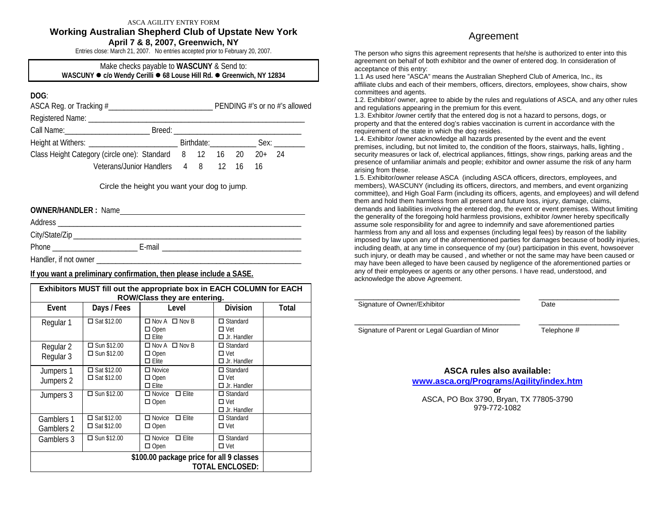#### ASCA AGILITY ENTRY FORM **Working Australian Shepherd Club of Upstate New York April 7 & 8, 2007, Greenwich, NY**

Entries close: March 21, 2007. No entries accepted prior to February 20, 2007.

#### Make checks payable to **WASCUNY** & Send to: **WASCUNY ● c/o** Wendy Cerilli ● 68 Louse Hill Rd. ● Greenwich, NY 12834

## **DOG**:

|                                                                |  |  |  |  | PENDING #'s or no #'s allowed |  |
|----------------------------------------------------------------|--|--|--|--|-------------------------------|--|
|                                                                |  |  |  |  |                               |  |
| Call Name: ______________________                              |  |  |  |  |                               |  |
|                                                                |  |  |  |  |                               |  |
| Class Height Category (circle one): Standard 8 12 16 20 20+ 24 |  |  |  |  |                               |  |
| Veterans/Junior Handlers 4 8 12 16 16                          |  |  |  |  |                               |  |

#### Circle the height you want your dog to jump.

| <b>OWNER/HANDLER: Name</b> |        |                                                                                                                       |
|----------------------------|--------|-----------------------------------------------------------------------------------------------------------------------|
|                            |        |                                                                                                                       |
|                            |        |                                                                                                                       |
|                            | E-mail | <u> 1989 - John Stein, Amerikaansk kanton en beskriuwer om de ferske om de ferske om de ferske om de ferske om de</u> |
|                            |        |                                                                                                                       |

### **If you want a preliminary confirmation, then please include a SASE.**

| Exhibitors MUST fill out the appropriate box in EACH COLUMN for EACH<br><b>ROW/Class they are entering.</b> |                                                                    |                                                             |                                                     |       |  |  |  |  |
|-------------------------------------------------------------------------------------------------------------|--------------------------------------------------------------------|-------------------------------------------------------------|-----------------------------------------------------|-------|--|--|--|--|
| Event                                                                                                       | Days / Fees                                                        | Level                                                       | <b>Division</b>                                     | Total |  |  |  |  |
| Regular 1                                                                                                   | $\square$ Sat \$12.00                                              | $\Box$ Nov A $\Box$ Nov B<br>$\Box$ Open<br>$\Box$ Elite    | $\Box$ Standard<br>$\Box$ Vet<br>$\Box$ Jr. Handler |       |  |  |  |  |
| Regular 2<br>Regular 3                                                                                      | $\Box$ Sun \$12.00<br>$\Box$ Sun \$12.00                           | $\Box$ Nov A $\Box$ Nov B<br>$\Box$ Open<br>$\square$ Elite | $\Box$ Standard<br>$\Box$ Vet<br>$\Box$ Jr. Handler |       |  |  |  |  |
| Jumpers 1<br>Jumpers 2                                                                                      | $\square$ Sat \$12.00<br>$\square$ Sat \$12.00                     | $\Box$ Novice<br>$\Box$ Open<br>$\Box$ Elite                | $\Box$ Standard<br>$\Box$ Vet<br>$\Box$ Jr. Handler |       |  |  |  |  |
| Jumpers 3                                                                                                   | $\Box$ Sun \$12.00                                                 | $\Box$ Elite<br>$\Box$ Novice<br>$\Box$ Open                | $\Box$ Standard<br>$\Box$ Vet<br>$\Box$ Jr. Handler |       |  |  |  |  |
| Gamblers 1<br>Gamblers 2                                                                                    | $\square$ Sat \$12.00<br>$\square$ Sat \$12.00                     | $\Box$ Elite<br>$\Box$ Novice<br>$\Box$ Open                | $\Box$ Standard<br>$\Box$ Vet                       |       |  |  |  |  |
| Gamblers 3                                                                                                  | $\square$ Sun \$12.00                                              | $\Box$ Elite<br>$\Box$ Novice<br>$\Box$ Open                | $\Box$ Standard<br>$\Box$ Vet                       |       |  |  |  |  |
|                                                                                                             | \$100.00 package price for all 9 classes<br><b>TOTAL ENCLOSED:</b> |                                                             |                                                     |       |  |  |  |  |

## Agreement

The person who signs this agreement represents that he/she is authorized to enter into this agreement on behalf of both exhibitor and the owner of entered dog. In consideration of acceptance of this entry:

1.1 As used here "ASCA" means the Australian Shepherd Club of America, Inc., its affiliate clubs and each of their members, officers, directors, employees, show chairs, show committees and agents.

1.2. Exhibitor/ owner, agree to abide by the rules and regulations of ASCA, and any other rules and regulations appearing in the premium for this event.

1.3. Exhibitor /owner certify that the entered dog is not a hazard to persons, dogs, or property and that the entered dog's rabies vaccination is current in accordance with the requirement of the state in which the dog resides.

1.4. Exhibitor /owner acknowledge all hazards presented by the event and the event premises, including, but not limited to, the condition of the floors, stairways, halls, lighting , security measures or lack of, electrical appliances, fittings, show rings, parking areas and the presence of unfamiliar animals and people; exhibitor and owner assume the risk of any harm arising from these.

1.5. Exhibitor/owner release ASCA (including ASCA officers, directors, employees, and members), WASCUNY (including its officers, directors, and members, and event organizing committee), and High Goal Farm (including its officers, agents, and employees) and will defend them and hold them harmless from all present and future loss, injury, damage, claims, demands and liabilities involving the entered dog, the event or event premises. Without limiting the generality of the foregoing hold harmless provisions, exhibitor /owner hereby specifically assume sole responsibility for and agree to indemnify and save aforementioned parties harmless from any and all loss and expenses (including legal fees) by reason of the liability imposed by law upon any of the aforementioned parties for damages because of bodily injuries, including death, at any time in consequence of my (our) participation in this event, howsoever such injury, or death may be caused , and whether or not the same may have been caused or may have been alleged to have been caused by negligence of the aforementioned parties or any of their employees or agents or any other persons. I have read, understood, and acknowledge the above Agreement.

| Signature of Owner/Exhibitor | Date |  |
|------------------------------|------|--|
|                              |      |  |

Signature of Parent or Legal Guardian of Minor Telephone #

**ASCA rules also available: www.asca.org/Programs/Agility/index.htm or** ASCA, PO Box 3790, Bryan, TX 77805-3790 979-772-1082